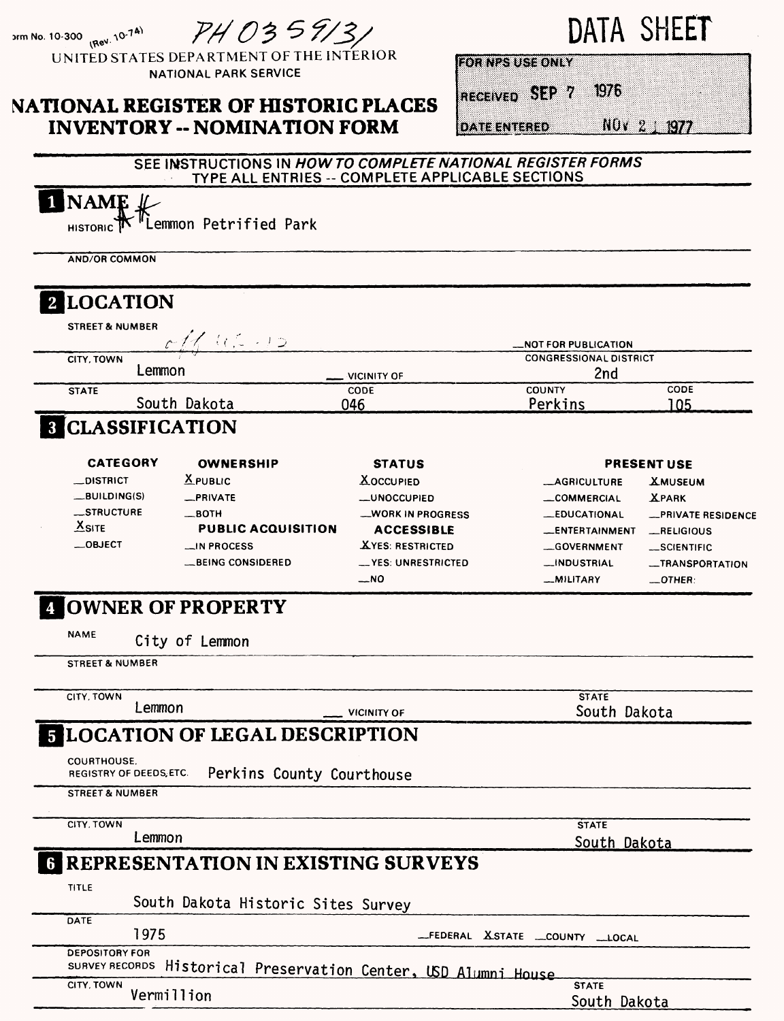PH 0359131

orm No. 10-300 (Rev. 10-7<sup>4)</sup> UNITED STATES DEPARTMENT OF THE INTERIOR NATIONAL PARK SERVICE

## **NATIONAL REGISTER OF HISTORIC PLACES INVENTORY -- NOMINATION FORM**

# DATA SHEET

**FOR NPS USE ONLY** 

 $1976$ RECEIVED SEP 7

**DATE ENTERED** 

NOv 2 1977

#### SEE INSTRUCTIONS IN **HOWTO COMPLETE NATIONAL REGISTER FORMS**  TYPE ALL ENTRIES -- COMPLETE APPLICABLE SECTIONS

# **NAME**

**HISTORIC Lemmon Petrified Park**

**AND/OR COMMON**

| 2 LOCATION<br><b>STREET &amp; NUMBER</b>      |                                                  |                            |                                      |                    |  |
|-----------------------------------------------|--------------------------------------------------|----------------------------|--------------------------------------|--------------------|--|
|                                               | $c_1/102.12$                                     |                            | _NOT FOR PUBLICATION                 |                    |  |
| CITY, TOWN<br>Lemmon                          |                                                  |                            | <b>CONGRESSIONAL DISTRICT</b><br>2nd |                    |  |
| <b>STATE</b>                                  |                                                  | <b>VICINITY OF</b><br>CODE | <b>COUNTY</b>                        | CODE               |  |
|                                               | South Dakota                                     | 046                        | Perkins                              | 105                |  |
| <b>CLASSIFICATION</b>                         |                                                  |                            |                                      |                    |  |
| <b>CATEGORY</b>                               | <b>OWNERSHIP</b>                                 | <b>STATUS</b>              | <b>PRESENT USE</b>                   |                    |  |
| $\Box$ DISTRICT                               | $X$ PUBLIC                                       | <b>AOCCUPIED</b>           | <b>__AGRICULTURE</b>                 | <b>XMUSEUM</b>     |  |
| $-BULDING(S)$                                 | _PRIVATE                                         | <b>__UNOCCUPIED</b>        | __COMMERCIAL                         | <b>XPARK</b>       |  |
| _STRUCTURE                                    | — вотн                                           | <b>__WORK IN PROGRESS</b>  | <b>__EDUCATIONAL</b>                 | -PRIVATE RESIDENCE |  |
| $X$ SITE                                      | <b>PUBLIC ACQUISITION</b>                        | <b>ACCESSIBLE</b>          | __ENTERTAINMENT                      | RELIGIOUS          |  |
| $\_$ OBJECT                                   | $\equiv$ IN PROCESS                              | <b>XYES: RESTRICTED</b>    | <b>__GOVERNMENT</b>                  | _SCIENTIFIC        |  |
|                                               | __BEING CONSIDERED                               | __ YES: UNRESTRICTED       | __INDUSTRIAL                         | -TRANSPORTATION    |  |
|                                               |                                                  | $\mathcal{M}$              | <b>MILITARY</b>                      | $-$ OTHER:         |  |
| <b>STREET &amp; NUMBER</b>                    |                                                  |                            |                                      |                    |  |
| CITY, TOWN                                    |                                                  |                            | <b>STATE</b>                         |                    |  |
| Lemmon                                        |                                                  | <b>VICINITY OF</b>         | South Dakota                         |                    |  |
|                                               | <b>5 LOCATION OF LEGAL DESCRIPTION</b>           |                            |                                      |                    |  |
| <b>COURTHOUSE.</b><br>REGISTRY OF DEEDS, ETC. | Perkins County Courthouse                        |                            |                                      |                    |  |
| <b>STREET &amp; NUMBER</b>                    |                                                  |                            |                                      |                    |  |
| CITY, TOWN                                    |                                                  |                            | <b>STATE</b>                         |                    |  |
| Lemmon                                        |                                                  |                            | South Dakota                         |                    |  |
|                                               | <b>6 REPRESENTATION IN EXISTING SURVEYS</b>      |                            |                                      |                    |  |
| TITLE                                         |                                                  |                            |                                      |                    |  |
|                                               | South Dakota Historic Sites Survey               |                            |                                      |                    |  |
| DATE                                          |                                                  |                            |                                      |                    |  |
| 1975                                          |                                                  |                            | _FEDERAL XSTATE _COUNTY _LOCAL       |                    |  |
| <b>DEPOSITORY FOR</b>                         |                                                  |                            |                                      |                    |  |
| SURVEY RECORDS                                | Historical Preservation Center, USD Alumni House |                            |                                      |                    |  |
| CITY, TOWN                                    | Vermillion                                       |                            | <b>STATE</b><br>South Dakota         |                    |  |
|                                               |                                                  |                            |                                      |                    |  |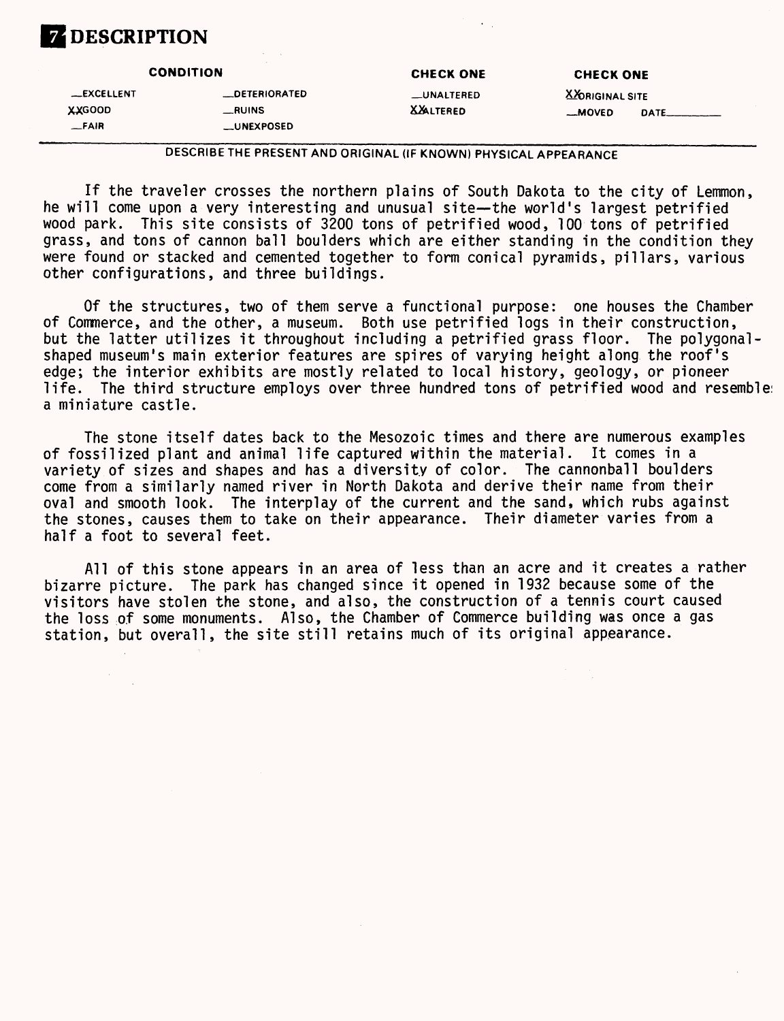

**CONDITION CHECK ONE CHECK ONE —EXCELLENT \_DETERIORATED —UNALTERED X&RIGINAL SITE XXGOOD \_RUINS XJ&LTERED —MOVED DATE\_\_\_\_\_\_\_ —FAIR \_UNEXPOSED**

DESCRIBE THE PRESENT AND ORIGINAL (IF KNOWN) PHYSICAL APPEARANCE

If the traveler crosses the northern plains of South Dakota to the city of Lemmon, he will come upon a very interesting and unusual site—the world's largest petrified wood park. This site consists of 3200 tons of petrified wood, 100 tons of petrified grass, and tons of cannon ball boulders which are either standing in the condition they were found or stacked and cemented together to form conical pyramids, pillars, various other configurations, and three buildings.

Of the structures, two of them serve a functional purpose: one houses the Chamber of Commerce, and the other, a museum. Both use petrified logs in their construction, but the latter utilizes it throughout including a petrified grass floor. The polygonal shaped museum's main exterior features are spires of varying height along the roof's edge; the interior exhibits are mostly related to local history, geology, or pioneer life. The third structure employs over three hundred tons of petrified wood and resemble: a miniature castle.

The stone itself dates back to the Mesozoic times and there are numerous examples of fossilized plant and animal life captured within the material. It comes in a variety of sizes and shapes and has a diversity of color. The cannonball boulders come from a similarly named river in North Dakota and derive their name from their oval and smooth look. The interplay of the current and the sand, which rubs against the stones, causes them to take on their appearance. Their diameter varies from a half a foot to several feet.

All of this stone appears in an area of less than an acre and it creates a rather bizarre picture. The park has changed since it opened in 1932 because some of the visitors have stolen the stone, and also, the construction of a tennis court caused the loss of some monuments. Also, the Chamber of Commerce building was once a gas station, but overall, the site still retains much of its original appearance.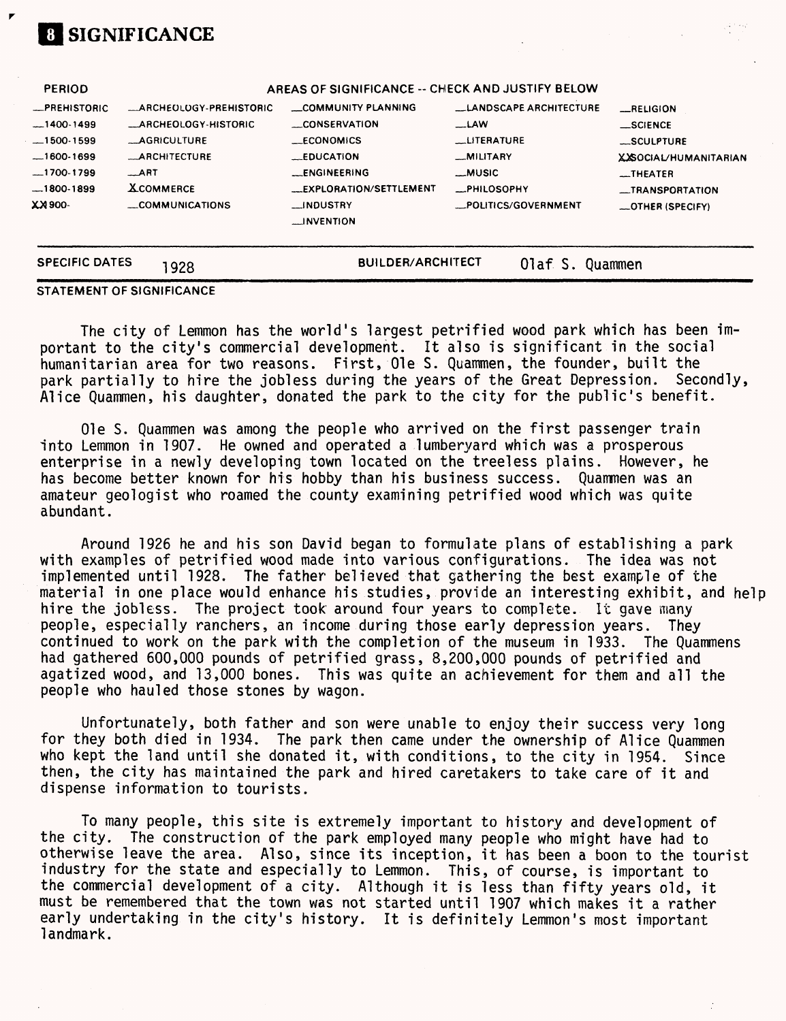| <b>SPECIFIC DATES</b> | 1928                            | <b>BUILDER/ARCHITECT</b>                         | Olaf S.                        | Quammen                      |
|-----------------------|---------------------------------|--------------------------------------------------|--------------------------------|------------------------------|
|                       |                                 | <b>INVENTION</b>                                 |                                |                              |
| -006 KX               | COMMUNICATIONS                  | <b>__INDUSTRY</b>                                | _POLITICS/GOVERNMENT           | <b>LOTHER (SPECIFY)</b>      |
| $-1800-1899$          | <b>XCOMMERCE</b>                | <b>__EXPLORATION/SETTLEMENT</b>                  | <b>__PHILOSOPHY</b>            | _TRANSPORTATION              |
| $-1700-1799$          | $\_$ ART                        | <b>ENGINEERING</b>                               | —MUSIC                         | __THEATER                    |
| $-1600-1699$          | <b>ARCHITECTURE</b>             | <b>EDUCATION</b>                                 | _MILITARY                      | <b>XXSOCIAL/HUMANITARIAN</b> |
| $-1500-1599$          | <b>__AGRICULTURE</b>            | <b>ECONOMICS</b>                                 | <b>LITERATURE</b>              | SCULPTURE                    |
| $-1400-1499$          | <b>__ARCHEOLOGY-HISTORIC</b>    | <b>CONSERVATION</b>                              | _LAW                           | $\equiv$ SCIENCE             |
| <b>_PREHISTORIC</b>   | <b>__ARCHEOLOGY-PREHISTORIC</b> | COMMUNITY PLANNING                               | <b>LLANDSCAPE ARCHITECTURE</b> | RELIGION                     |
| PERIOD                |                                 | AREAS OF SIGNIFICANCE -- CHECK AND JUSTIFY BELOW |                                |                              |

#### **STATEMENT OF SIGNIFICANCE**

**SIGNIFICANCE**

The city of Lemmon has the world's largest petrified wood park which has been important to the city's commercial development. It also is significant in the social humanitarian area for two reasons. First, Ole S. Quammen, the founder, built the park partially to hire the jobless during the years of the Great Depression. Secondly, Alice Quammen, his daughter, donated the park to the city for the public's benefit.

Ole S. Quammen was among the people who arrived on the first passenger train Into Lemmon in 1907. He owned and operated a lumberyard which was a prosperous enterprise in a newly developing town located on the treeless plains. However, he has become better known for his hobby than his business success. Quammen was an amateur geologist who roamed the county examining petrified wood which was quite abundant.

Around 1926 he and his son David began to formulate plans of establishing a park with examples of petrified wood made into various configurations. The idea was not implemented until 1928. The father believed that gathering the best example of the material in one place would enhance his studies, provide an interesting exhibit, and help hire the jobless. The project took around four years to complete. It gave many people, especially ranchers, an income during those early depression years. They continued to work on the park with the completion of the museum in 1933. The Quammens had gathered 600,000 pounds of petrified grass, 8,200,000 pounds of petrified and agatized wood, and 13,000 bones. This was quite an achievement for them and all the people who hauled those stones by wagon.

Unfortunately, both father and son were unable to enjoy their success very long for they both died in 1934. The park then came under the ownership of Alice Quammen who kept the land until she donated it, with conditions, to the city in 1954. Since then, the city has maintained the park and hired caretakers to take care of it and dispense information to tourists.

To many people, this site is extremely important to history and development of the city. The construction of the park employed many people who might have had to otherwise leave the area. Also, since its inception, it has been a boon to the tourist industry for the state and especially to Lemmon. This, of course, is important to the commercial development of a city. Although it is less than fifty years old, it must be remembered that the town was not started until 1907 which makes it a rather early undertaking in the city's history. It is definitely Lemmon's most important landmark.